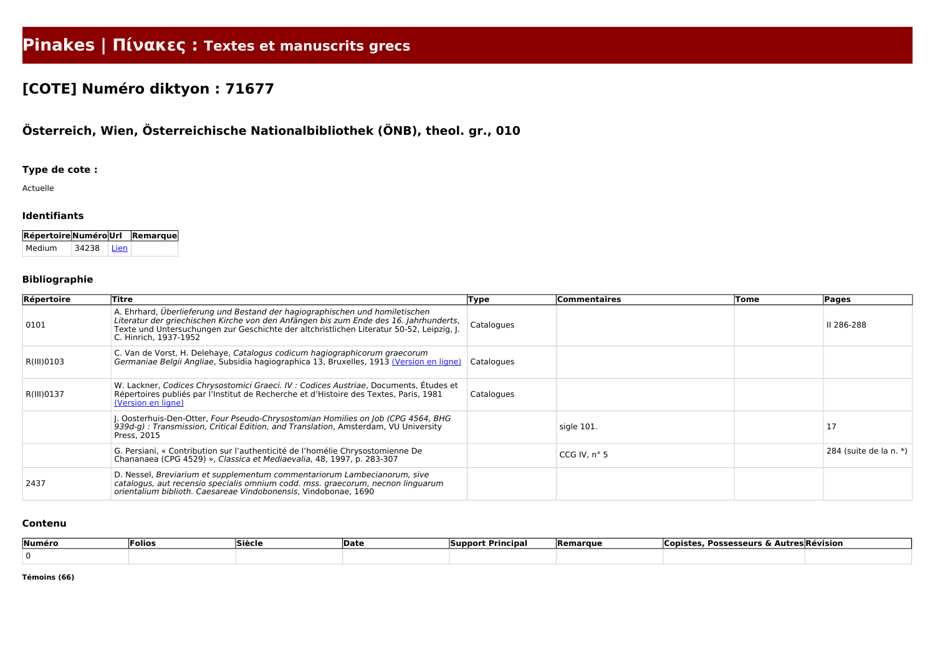# **Pinakes | Πίνακες : Textes et manuscrits grecs**

# **[COTE] Numéro diktyon : 71677**

# **Österreich, Wien, Österreichische Nationalbibliothek (ÖNB), theol. gr., 010**

## **Type de cote :**

Actuelle

### **Identifiants**

| Répertoire Numéro Url Remarque |       |        |  |
|--------------------------------|-------|--------|--|
| Medium                         | 34238 | l Lien |  |

### **Bibliographie**

| Répertoire | Titre                                                                                                                                                                                                                                                                                     | Type       | Commentaires          | Tome | Pages                  |
|------------|-------------------------------------------------------------------------------------------------------------------------------------------------------------------------------------------------------------------------------------------------------------------------------------------|------------|-----------------------|------|------------------------|
| 0101       | A. Ehrhard, Überlieferung und Bestand der hagiographischen und homiletischen<br>Literatur der griechischen Kirche von den Anfängen bis zum Ende des 16. Jahrhunderts,<br>Texte und Untersuchungen zur Geschichte der altchristlichen Literatur 50-52, Leipzig, J<br>C. Hinrich, 1937-1952 | Catalogues |                       |      | II 286-288             |
| R(III)0103 | C. Van de Vorst, H. Delehaye, Catalogus codicum hagiographicorum graecorum<br>Germaniae Belgii Angliae, Subsidia hagiographica 13, Bruxelles, 1913 (Version en ligne)                                                                                                                     | Catalogues |                       |      |                        |
| R(III)0137 | W. Lackner, Codices Chrysostomici Graeci. IV : Codices Austriae, Documents, Études et<br>Répertoires publiés par l'Institut de Recherche et d'Histoire des Textes, Paris, 1981<br>(Version en ligne)                                                                                      | Catalogues |                       |      |                        |
|            | J. Oosterhuis-Den-Otter, Four Pseudo-Chrysostomian Homilies on Job (CPG 4564, BHG<br>939d-g) : Transmission, Critical Edition, and Translation, Amsterdam, VU University<br>Press, 2015                                                                                                   |            | sigle 101.            |      | 17                     |
|            | G. Persiani, « Contribution sur l'authenticité de l'homélie Chrysostomienne De<br>Chananaea (CPG 4529) », Classica et Mediaevalia, 48, 1997, p. 283-307                                                                                                                                   |            | CCG IV, $n^{\circ}$ 5 |      | 284 (suite de la n. *) |
| 2437       | D. Nessel, Breviarium et supplementum commentariorum Lambecianorum, sive<br>catalogus, aut recensio specialis omnium codd. mss. graecorum, necnon linguarum<br>orientalium biblioth. Caesareae Vindobonensis, Vindobonae, 1690                                                            |            |                       |      |                        |

#### **Contenu**

| Numéro | olios <sup>.</sup> | Siècle | <b>IDate</b> | ` Principa.<br>unnor | <b>Remarque</b> | <b>Possesseurs &amp; A.</b><br>oo | <b>Nutres Révision</b> |
|--------|--------------------|--------|--------------|----------------------|-----------------|-----------------------------------|------------------------|
|        |                    |        |              |                      |                 |                                   |                        |

**Témoins (66)**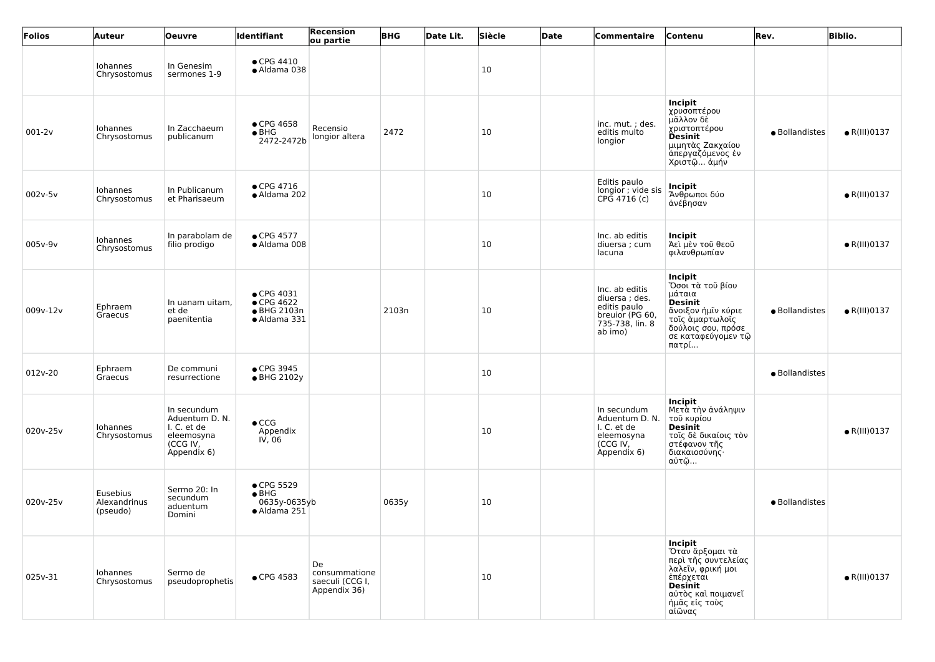| Folios     | <b>Auteur</b>                        | <b>Oeuvre</b>                                                                         | <b>Identifiant</b>                                              | <b>Recension</b><br>ou partie                          | <b>BHG</b> | Date Lit. | Siècle | <b>Date</b> | Commentaire                                                                                      | Contenu                                                                                                                                                | Rev.           | <b>Biblio.</b>       |
|------------|--------------------------------------|---------------------------------------------------------------------------------------|-----------------------------------------------------------------|--------------------------------------------------------|------------|-----------|--------|-------------|--------------------------------------------------------------------------------------------------|--------------------------------------------------------------------------------------------------------------------------------------------------------|----------------|----------------------|
|            | Iohannes<br>Chrysostomus             | In Genesim<br>sermones 1-9                                                            | $\bullet$ CPG 4410<br>• Aldama 038                              |                                                        |            |           | 10     |             |                                                                                                  |                                                                                                                                                        |                |                      |
| $001 - 2v$ | Iohannes<br>Chrysostomus             | In Zacchaeum<br>publicanum                                                            | $\bullet$ CPG 4658<br>$\bullet$ BHG<br>2472-2472b               | Recensio<br>longior altera                             | 2472       |           | 10     |             | inc. mut.; des.<br>editis multo<br>longior                                                       | Incipit<br>χρυσοπτέρου<br>μᾶλλον δὲ<br>χριστοπτέρου<br><b>Desinit</b><br>μιμητὰς Ζακχαίου<br>άπεργαζόμενος έν<br>Χριστῷ ἀμήν                           | • Bollandistes | $\bullet$ R(III)0137 |
| 002v-5v    | Iohannes<br>Chrysostomus             | In Publicanum<br>et Pharisaeum                                                        | $\bullet$ CPG 4716<br>· Aldama 202                              |                                                        |            |           | 10     |             | Editis paulo<br>longior ; vide sis<br>$CPG$ 4716 (c)                                             | <b>Incipit</b><br>Άνθρωποι δύο<br>άνέβησαν                                                                                                             |                | $\bullet$ R(III)0137 |
| 005v-9v    | Iohannes<br>Chrysostomus             | In parabolam de<br>filio prodigo                                                      | • CPG 4577<br>· Aldama 008                                      |                                                        |            |           | 10     |             | Inc. ab editis<br>diuersa ; cum<br>lacuna                                                        | Incipit<br>Άεὶ μὲν τοῦ θεοῦ<br>φιλανθρωπίαν                                                                                                            |                | $\bullet$ R(III)0137 |
| 009v-12v   | Ephraem<br>Graecus                   | In uanam uitam,<br>et de<br>paenitentia                                               | • CPG 4031<br>$\bullet$ CPG 4622<br>● BHG 2103n<br>• Aldama 331 |                                                        | 2103n      |           | 10     |             | Inc. ab editis<br>diuersa; des.<br>editis paulo<br>breuior (PG 60,<br>735-738, lin. 8<br>ab imo) | Incipit<br>Όσοι τὰ τοῦ βίου<br>μάταια<br><b>Desinit</b><br>ἄνοιξον ἡμῖν κύριε<br>τοῖς ἁμαρτωλοῖς<br>δούλοις σου, πρόσε<br>σε καταφεύγομεν τῷ<br>πατρί  | · Bollandistes | $\bullet$ R(III)0137 |
| 012v-20    | Ephraem<br>Graecus                   | De communi<br>resurrectione                                                           | • CPG 3945<br>• BHG 2102y                                       |                                                        |            |           | 10     |             |                                                                                                  |                                                                                                                                                        | · Bollandistes |                      |
| 020v-25v   | Iohannes<br>Chrysostomus             | In secundum<br>Aduentum D. N.<br>I. C. et de<br>eleemosyna<br>(CCG IV,<br>Appendix 6) | $\bullet$ CCG<br>Appendix<br>$I\dot{V}$ , 06                    |                                                        |            |           | 10     |             | In secundum<br>Aduentum D. N.<br>I. C. et de<br>eleemosyna<br>(CCG IV,<br>Appendix 6)            | Incipit<br>Μετὰ τὴν ἀνάληψιν<br>τοῦ κυρίου<br><b>Desinit</b><br>τοῖς δὲ δικαίοις τὸν<br>στέφανον τῆς<br>διακαιοσύνης·<br>αὐτῷ                          |                | $\bullet$ R(III)0137 |
| 020v-25v   | Eusebius<br>Alexandrinus<br>(pseudo) | Sermo 20: In<br>secundum<br>aduentum<br>Domini                                        | • CPG 5529<br>$\bullet$ BHG<br>0635y-0635yb<br>· Aldama 251     |                                                        | 0635y      |           | 10     |             |                                                                                                  |                                                                                                                                                        | · Bollandistes |                      |
| 025v-31    | Iohannes<br>Chrysostomus             | Sermo de<br>pseudoprophetis                                                           | • CPG 4583                                                      | De<br>consummatione<br>saeculi (CCG I,<br>Appendix 36) |            |           | 10     |             |                                                                                                  | Incipit<br>Όταν ἄρξομαι τὰ<br>περι τῆς συντελείας<br>λαλεΐν, φρική μοι<br>έπέρχεται<br><b>Desinit</b><br>αὐτὸς καὶ ποιμανεῖ<br>ἡμᾶς εἰς τοὺς<br>αἰῶνας |                | $\bullet$ R(III)0137 |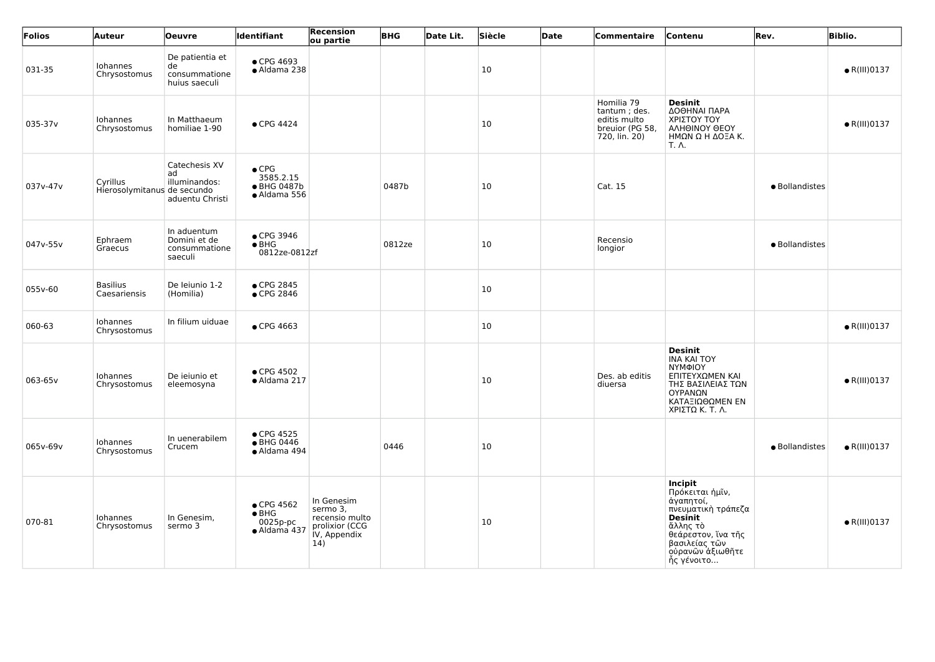| Folios   | Auteur                                  | <b>Oeuvre</b>                                           | <b>Identifiant</b>                                         | Recension<br>ou partie                                                            | <b>BHG</b> | Date Lit. | Siècle | Date | Commentaire                                                                    | Contenu                                                                                                                                                                     | Rev.           | <b>Biblio.</b>       |
|----------|-----------------------------------------|---------------------------------------------------------|------------------------------------------------------------|-----------------------------------------------------------------------------------|------------|-----------|--------|------|--------------------------------------------------------------------------------|-----------------------------------------------------------------------------------------------------------------------------------------------------------------------------|----------------|----------------------|
| 031-35   | Iohannes<br>Chrysostomus                | De patientia et<br>de<br>consummatione<br>huius saeculi | • CPG 4693<br>• Aldama 238                                 |                                                                                   |            |           | 10     |      |                                                                                |                                                                                                                                                                             |                | $\bullet$ R(III)0137 |
| 035-37v  | Iohannes<br>Chrysostomus                | In Matthaeum<br>homiliae 1-90                           | $\bullet$ CPG 4424                                         |                                                                                   |            |           | 10     |      | Homilia 79<br>tantum; des.<br>editis multo<br>breuior (PG 58,<br>720, lin. 20) | <b>Desinit</b><br>ΔΟΘΗΝΑΙ ΠΑΡΑ<br>ΧΡΙΣΤΟΥ ΤΟΥ<br>ΑΛΗΘΙΝΟΥ ΘΕΟΥ<br>ΗΜΩΝ Ω Η ΔΟΞΑ Κ.<br><b>Τ.</b> Λ.                                                                          |                | $\bullet$ R(III)0137 |
| 037v-47v | Cyrillus<br>Hierosolymitanus de secundo | Catechesis XV<br>ad<br>illuminandos:<br>aduentu Christi | $\bullet$ CPG<br>3585.2.15<br>● BHG 0487b<br>• Aldama 556  |                                                                                   | 0487b      |           | 10     |      | Cat. 15                                                                        |                                                                                                                                                                             | · Bollandistes |                      |
| 047v-55v | Ephraem<br>Graecus                      | In aduentum<br>Domini et de<br>consummatione<br>saeculi | ● CPG 3946<br>$\bullet$ BHG<br>0812ze-0812zf               |                                                                                   | 0812ze     |           | 10     |      | Recensio<br>longior                                                            |                                                                                                                                                                             | · Bollandistes |                      |
| 055v-60  | <b>Basilius</b><br>Caesariensis         | De leiunio 1-2<br>(Homilia)                             | • CPG 2845<br>● CPG 2846                                   |                                                                                   |            |           | 10     |      |                                                                                |                                                                                                                                                                             |                |                      |
| 060-63   | Iohannes<br>Chrysostomus                | In filium uiduae                                        | • CPG 4663                                                 |                                                                                   |            |           | 10     |      |                                                                                |                                                                                                                                                                             |                | $\bullet$ R(III)0137 |
| 063-65v  | Iohannes<br>Chrysostomus                | De ieiunio et<br>eleemosyna                             | • CPG 4502<br>• Aldama 217                                 |                                                                                   |            |           | 10     |      | Des. ab editis<br>diuersa                                                      | <b>Desinit</b><br><b>INA KAI TOY</b><br>ΝΥΜΦΙΟΥ<br>ΕΠΙΤΕΥΧΩΜΕΝ ΚΑΙ<br>ΤΗΣ ΒΑΣΙΛΕΙΑΣ ΤΩΝ<br>ΟΥΡΑΝΩΝ<br>ΚΑΤΑΞΙΩΘΩΜΕΝ ΕΝ<br>ΧΡΙΣΤΩ Κ. Τ. Λ.                                    |                | $\bullet$ R(III)0137 |
| 065v-69v | Iohannes<br>Chrysostomus                | In uenerabilem<br>Crucem                                | • CPG 4525<br>● BHG 0446<br>· Aldama 494                   |                                                                                   | 0446       |           | 10     |      |                                                                                |                                                                                                                                                                             | · Bollandistes | $\bullet$ R(III)0137 |
| 070-81   | Iohannes<br>Chrysostomus                | In Genesim,<br>sermo 3                                  | • CPG 4562<br>$\bullet$ BHG<br>$0025p$ -pc<br>· Aldama 437 | In Genesim<br>sermo 3,<br>recensio multo<br>prolixior (CCG<br>IV, Appendix<br>14) |            |           | 10     |      |                                                                                | <b>Incipit</b><br>Πρόκειται ήμῖν,<br>άγαπητοί,<br>πνευματική τράπεζα<br><b>Desinit</b><br>ἄλλης τὸ<br>θεάρεστον, ἵνα τῆς<br>βασιλείας τῶν<br>ούρανῶν ἀξιωθῆτε<br>ής γένοιτο |                | $\bullet$ R(III)0137 |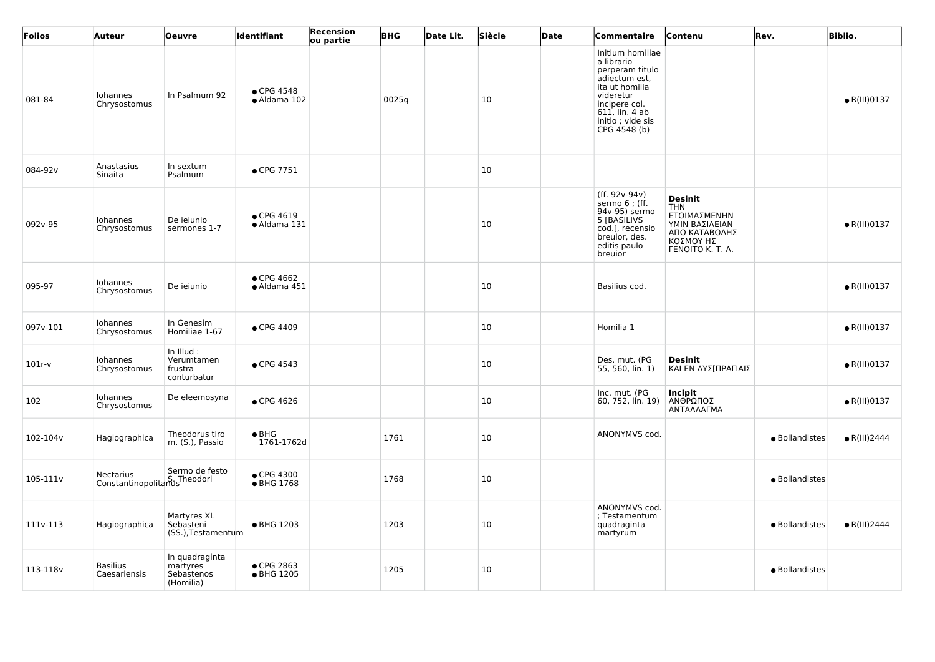| Folios   | <b>Auteur</b>                              | <b>Oeuvre</b>                                         | <b>Identifiant</b>                 | Recension<br>ou partie | <b>BHG</b> | Date Lit. | Siècle | Date | Commentaire                                                                                                                                                                 | Contenu                                                                                                                 | Rev.           | <b>Biblio.</b>       |
|----------|--------------------------------------------|-------------------------------------------------------|------------------------------------|------------------------|------------|-----------|--------|------|-----------------------------------------------------------------------------------------------------------------------------------------------------------------------------|-------------------------------------------------------------------------------------------------------------------------|----------------|----------------------|
| 081-84   | Iohannes<br>Chrysostomus                   | In Psalmum 92                                         | $\bullet$ CPG 4548<br>• Aldama 102 |                        | 0025q      |           | 10     |      | Initium homiliae<br>a librario<br>perperam titulo<br>adiectum est,<br>ita ut homilia<br>videretur<br>incipere col.<br>$611$ , lin. 4 ab<br>initio; vide sis<br>CPG 4548 (b) |                                                                                                                         |                | $\bullet$ R(III)0137 |
| 084-92v  | Anastasius<br>Sinaita                      | In sextum<br>Psalmum                                  | • CPG 7751                         |                        |            |           | 10     |      |                                                                                                                                                                             |                                                                                                                         |                |                      |
| 092v-95  | Iohannes<br>Chrysostomus                   | De ieiunio<br>sermones 1-7                            | • CPG 4619<br>· Aldama 131         |                        |            |           | 10     |      | (ff. $92v-94v$ )<br>sermo 6 ; (ff.<br>94v-95) sermo<br>5 [BASILIVS<br>cod.], recensio<br>breuior, des.<br>editis paulo<br>breuior                                           | <b>Desinit</b><br><b>THN</b><br>ΕΤΟΙΜΑΣΜΕΝΗΝ<br>ΥΜΙΝ ΒΑΣΙΛΕΙΑΝ<br>ΑΠΟ ΚΑΤΑΒΟΛΗΣ<br>ΚΟΣΜΟΥ ΗΣ<br><b>FENOITO K. T. A.</b> |                | $\bullet$ R(III)0137 |
| 095-97   | Iohannes<br>Chrysostomus                   | De ieiunio                                            | ● CPG 4662<br>· Aldama 451         |                        |            |           | 10     |      | Basilius cod.                                                                                                                                                               |                                                                                                                         |                | $\bullet$ R(III)0137 |
| 097v-101 | Iohannes<br>Chrysostomus                   | In Genesim<br>Homiliae 1-67                           | • CPG 4409                         |                        |            |           | 10     |      | Homilia 1                                                                                                                                                                   |                                                                                                                         |                | $\bullet$ R(III)0137 |
| $101r-v$ | Iohannes<br>Chrysostomus                   | In Illud:<br>Verumtamen<br>frustra<br>conturbatur     | • CPG 4543                         |                        |            |           | 10     |      | Des. mut. (PG<br>55, 560, lin. 1)                                                                                                                                           | <b>Desinit</b><br>ΚΑΙ ΕΝ ΔΥΣ[ΠΡΑΓΙΑΙΣ                                                                                   |                | $\bullet$ R(III)0137 |
| 102      | Iohannes<br>Chrysostomus                   | De eleemosyna                                         | $\bullet$ CPG 4626                 |                        |            |           | 10     |      | Inc. mut. (PG<br>60, 752, lin. 19)                                                                                                                                          | <b>Incipit</b><br><b>ΑΝΘΡΩΠΟΣ</b><br>ΑΝΤΑΛΛΑΓΜΑ                                                                         |                | $\bullet$ R(III)0137 |
| 102-104v | Hagiographica                              | Theodorus tiro<br>m. (S.), Passio                     | $\bullet$ BHG<br>1761-1762d        |                        | 1761       |           | 10     |      | ANONYMVS cod.                                                                                                                                                               |                                                                                                                         | · Bollandistes | $\bullet$ R(III)2444 |
| 105-111v | Nectarius<br>Constantinopolitanus Theodori | Sermo de festo                                        | • CPG 4300<br>• BHG 1768           |                        | 1768       |           | 10     |      |                                                                                                                                                                             |                                                                                                                         | · Bollandistes |                      |
| 111v-113 | Hagiographica                              | Martyres XL<br>Sebasteni<br>(SS.), Testamentum        | • BHG 1203                         |                        | 1203       |           | 10     |      | ANONYMVS cod.<br>; Testamentum<br>quadraginta<br>martyrum                                                                                                                   |                                                                                                                         | · Bollandistes | $\bullet$ R(III)2444 |
| 113-118v | <b>Basilius</b><br>Caesariensis            | In quadraginta<br>martyres<br>Sebastenos<br>(Homilia) | ● CPG 2863<br>• BHG 1205           |                        | 1205       |           | 10     |      |                                                                                                                                                                             |                                                                                                                         | · Bollandistes |                      |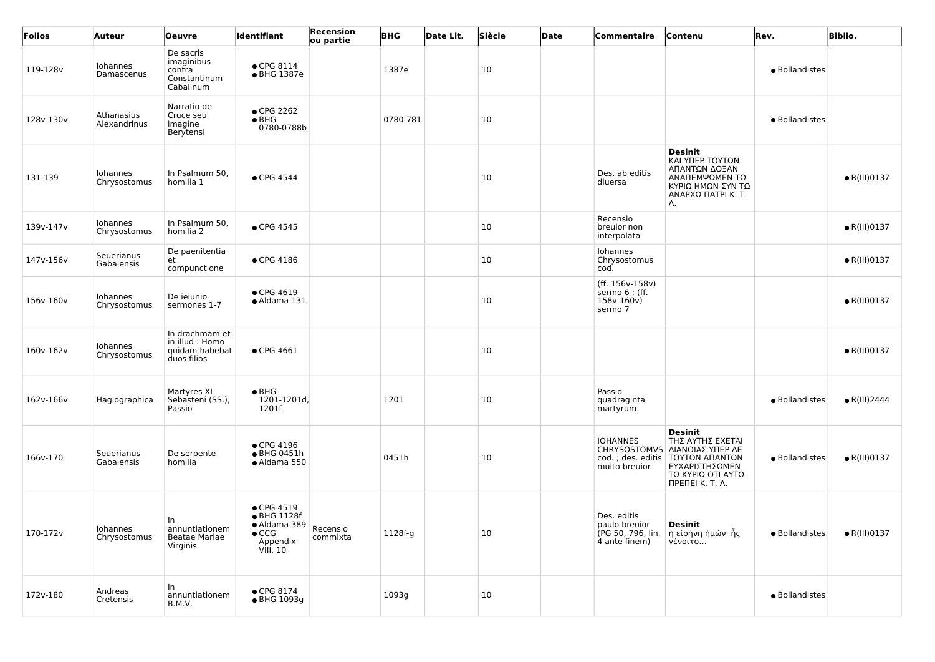| Folios    | <b>Auteur</b>              | <b>Oeuvre</b>                                                      | <b>Identifiant</b>                                                                                | Recension<br>ou partie | <b>BHG</b> | Date Lit. | Siècle | Date | <b>Commentaire</b>                                                 | Contenu                                                                                                                                                                    | Rev.           | <b>Biblio.</b>       |
|-----------|----------------------------|--------------------------------------------------------------------|---------------------------------------------------------------------------------------------------|------------------------|------------|-----------|--------|------|--------------------------------------------------------------------|----------------------------------------------------------------------------------------------------------------------------------------------------------------------------|----------------|----------------------|
| 119-128v  | Iohannes<br>Damascenus     | De sacris<br>imaginibus<br>contra<br>Constantinum<br>Cabalinum     | $\bullet$ CPG 8114<br>• BHG 1387e                                                                 |                        | 1387e      |           | 10     |      |                                                                    |                                                                                                                                                                            | · Bollandistes |                      |
| 128v-130v | Athanasius<br>Alexandrinus | Narratio de<br>Cruce seu<br>imagine<br>Berytensi                   | ● CPG 2262<br>$\bullet$ BHG<br>0780-0788b                                                         |                        | 0780-781   |           | 10     |      |                                                                    |                                                                                                                                                                            | · Bollandistes |                      |
| 131-139   | Iohannes<br>Chrysostomus   | In Psalmum 50,<br>homilia 1                                        | $\bullet$ CPG 4544                                                                                |                        |            |           | 10     |      | Des. ab editis<br>diuersa                                          | <b>Desinit</b><br>ΚΑΙ ΥΠΕΡ ΤΟΥΤΩΝ<br>ΑΠΑΝΤΩΝ ΔΟΞΑΝ<br>ΑΝΑΠΕΜΨΩΜΕΝ ΤΩ<br>ΚΥΡΙΩ ΗΜΩΝ ΣΥΝ ΤΩ<br>ΑΝΑΡΧΩ ΠΑΤΡΙ Κ. Τ.<br>Λ.                                                      |                | $\bullet$ R(III)0137 |
| 139v-147v | Iohannes<br>Chrysostomus   | In Psalmum 50,<br>homilia 2                                        | • CPG 4545                                                                                        |                        |            |           | 10     |      | Recensio<br>breuior non<br>interpolata                             |                                                                                                                                                                            |                | $\bullet$ R(III)0137 |
| 147v-156v | Seuerianus<br>Gabalensis   | De paenitentia<br>et<br>compunctione                               | $\bullet$ CPG 4186                                                                                |                        |            |           | 10     |      | Iohannes<br>Chrysostomus<br>cod.                                   |                                                                                                                                                                            |                | $\bullet$ R(III)0137 |
| 156v-160v | Iohannes<br>Chrysostomus   | De ieiunio<br>sermones 1-7                                         | • CPG 4619<br>· Aldama 131                                                                        |                        |            |           | 10     |      | (ff. 156v-158v)<br>sermo 6 ; (ff.<br>158v-160v)<br>sermo 7         |                                                                                                                                                                            |                | $\bullet$ R(III)0137 |
| 160v-162v | Iohannes<br>Chrysostomus   | In drachmam et<br>in illud : Homo<br>quidam habebat<br>duos filios | • CPG 4661                                                                                        |                        |            |           | 10     |      |                                                                    |                                                                                                                                                                            |                | $\bullet$ R(III)0137 |
| 162v-166v | Hagiographica              | Martyres XL<br>Sebasteni (SS.),<br>Passio                          | $\bullet$ BHG<br>1201-1201d,<br>1201f                                                             |                        | 1201       |           | 10     |      | Passio<br>quadraginta<br>martyrum                                  |                                                                                                                                                                            | · Bollandistes | $\bullet$ R(III)2444 |
| 166v-170  | Seuerianus<br>Gabalensis   | De serpente<br>homilia                                             | $\bullet$ CPG 4196<br>• BHG 0451h<br>• Aldama 550                                                 |                        | 0451h      |           | 10     |      | <b>IOHANNES</b><br>multo breuior                                   | <b>Desinit</b><br>ΤΗΣ ΑΥΤΗΣ ΕΧΕΤΑΙ<br>CHRYSOSTOMVS ΔΙΑΝΟΙΑΣ ΥΠΕΡ ΔΕ<br>cod.; des. editis   ΤΟΥΤΩΝ ΑΠΑΝΤΩΝ<br>ΕΥΧΑΡΙΣΤΗΣΩΜΕΝ<br>ΤΩ ΚΥΡΙΩ ΟΤΙ ΑΥΤΩ<br><b>ΠΡΕΠΕΙ Κ. Τ. Λ.</b> | · Bollandistes | $\bullet$ R(III)0137 |
| 170-172v  | Iohannes<br>Chrysostomus   | In.<br>annuntiationem<br><b>Beatae Mariae</b><br>Virginis          | $\bullet$ CPG 4519<br>• BHG 1128f<br>· Aldama 389<br>$\bullet$ CCG<br>Appendix<br><b>VIII, 10</b> | Recensio<br>commixta   | 1128f-g    |           | 10     |      | Des. editis<br>paulo breuior<br>(PG 50, 796, lin.<br>4 ante finem) | <b>Desinit</b><br>∣ ἡ εἰρήνη ἡμῶν∙ ἧς<br>γένοιτο                                                                                                                           | · Bollandistes | $\bullet$ R(III)0137 |
| 172v-180  | Andreas<br>Cretensis       | In<br>annuntiationem<br>B.M.V.                                     | $\bullet$ CPG 8174<br>• BHG 1093g                                                                 |                        | 1093g      |           | 10     |      |                                                                    |                                                                                                                                                                            | · Bollandistes |                      |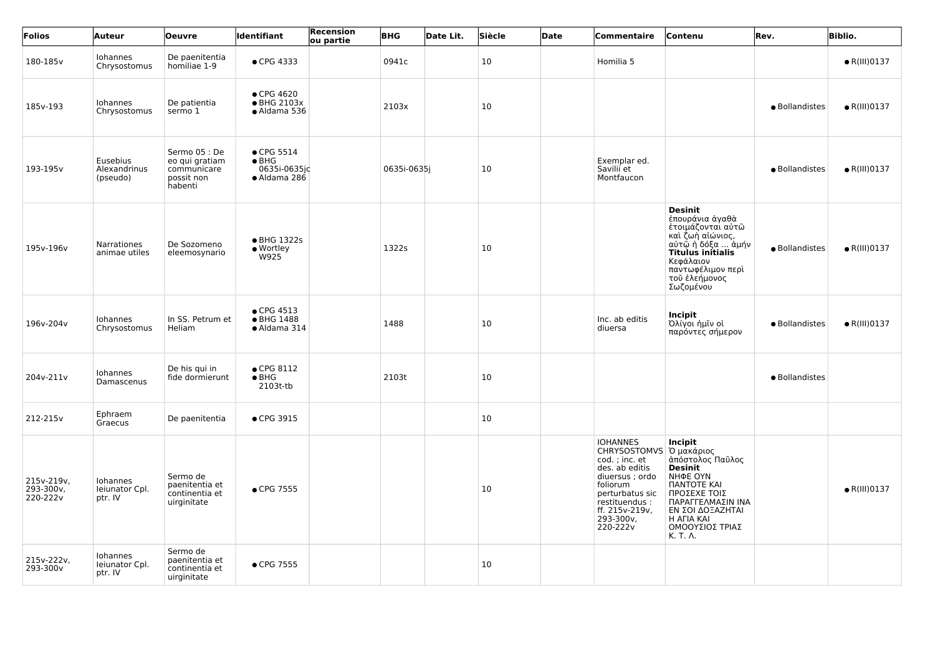| Folios                              | Auteur                                | <b>Oeuvre</b>                                                           | <b>Identifiant</b>                                                  | Recension<br>ou partie | <b>BHG</b>  | Date Lit. | Siècle | Date | <b>Commentaire</b>                                                                                                                                                                            | Contenu                                                                                                                                                                                                    | Rev.           | <b>Biblio.</b>       |
|-------------------------------------|---------------------------------------|-------------------------------------------------------------------------|---------------------------------------------------------------------|------------------------|-------------|-----------|--------|------|-----------------------------------------------------------------------------------------------------------------------------------------------------------------------------------------------|------------------------------------------------------------------------------------------------------------------------------------------------------------------------------------------------------------|----------------|----------------------|
| 180-185v                            | Iohannes<br>Chrysostomus              | De paenitentia<br>homiliae 1-9                                          | • CPG 4333                                                          |                        | 0941c       |           | 10     |      | Homilia 5                                                                                                                                                                                     |                                                                                                                                                                                                            |                | $\bullet$ R(III)0137 |
| 185v-193                            | Iohannes<br>Chrysostomus              | De patientia<br>sermo 1                                                 | • CPG 4620<br>• BHG 2103x<br>• Aldama 536                           |                        | 2103x       |           | 10     |      |                                                                                                                                                                                               |                                                                                                                                                                                                            | · Bollandistes | $\bullet$ R(III)0137 |
| 193-195v                            | Eusebius<br>Alexandrinus<br>(pseudo)  | Sermo 05 : De<br>eo qui gratiam<br>communicare<br>possit non<br>habenti | $\bullet$ CPG 5514<br>$\bullet$ BHG<br>0635i-0635j¢<br>· Aldama 286 |                        | 0635i-0635j |           | 10     |      | Exemplar ed.<br>Savilii et<br>Montfaucon                                                                                                                                                      |                                                                                                                                                                                                            | · Bollandistes | $\bullet$ R(III)0137 |
| 195v-196v                           | Narrationes<br>animae utiles          | De Sozomeno<br>eleemosynario                                            | • BHG 1322s<br>• Wortley<br>W925                                    |                        | 1322s       |           | 10     |      |                                                                                                                                                                                               | <b>Desinit</b><br>έπουράνια άγαθὰ<br>έτοιμάζονται αύτῶ<br>καὶ ζωὴ αἰώνιος,<br>αὐτῷ ἡ δόξα  ἀμήν<br><b>Titulus initialis</b><br>Κεφάλαιον<br>παντωφέλιμον περι<br>τοῦ ἐλεήμονος<br>Σωζομένου                | · Bollandistes | $\bullet$ R(III)0137 |
| 196v-204v                           | Iohannes<br>Chrysostomus              | In SS. Petrum et<br>Heliam                                              | $\bullet$ CPG 4513<br>● BHG 1488<br>• Aldama 314                    |                        | 1488        |           | 10     |      | Inc. ab editis<br>diuersa                                                                                                                                                                     | <b>Incipit</b><br>Όλίγοι ήμῒν οί<br>παρόντες σήμερον                                                                                                                                                       | · Bollandistes | $\bullet$ R(III)0137 |
| 204v-211v                           | Iohannes<br>Damascenus                | De his qui in<br>fide dormierunt                                        | $\bullet$ CPG 8112<br>$\bullet$ BHG<br>2103t-tb                     |                        | 2103t       |           | 10     |      |                                                                                                                                                                                               |                                                                                                                                                                                                            | • Bollandistes |                      |
| 212-215v                            | Ephraem<br>Graecus                    | De paenitentia                                                          | • CPG 3915                                                          |                        |             |           | 10     |      |                                                                                                                                                                                               |                                                                                                                                                                                                            |                |                      |
| 215v-219v,<br>293-300v,<br>220-222v | Iohannes<br>Ieiunator Cpl.<br>ptr. IV | Sermo de<br>paenitentia et<br>continentia et<br>uirginitate             | • CPG 7555                                                          |                        |             |           | 10     |      | <b>IOHANNES</b><br>CHRYSOSTOMVS   Ό μακάριος<br>cod.; inc. et<br>des. ab editis<br>diuersus; ordo<br>foliorum<br>perturbatus sic<br>restituendus :<br>ff. 215v-219v,<br>293-300v,<br>220-222v | <b>Incipit</b><br>άπόστολος Παῦλος<br><b>Desinit</b><br><b>NHΦE OYN</b><br><b><i>NANTOTE KAI</i></b><br>ΠΡΟΣΕΧΕ ΤΟΙΣ<br>ΠΑΡΑΓΓΕΛΜΑΣΙΝ ΙΝΑ<br>ΕΝ ΣΟΙ ΔΟΞΑΖΗΤΑΙ<br>H AFIA KAI<br>ΟΜΟΟΥΣΙΟΣ ΤΡΙΑΣ<br>K. T. A. |                | $\bullet$ R(III)0137 |
| 215v-222v,<br>293-300v              | Iohannes<br>Ieiunator Cpl.<br>ptr. IV | Sermo de<br>paenitentia et<br>continentia et<br>uirginitate             | • CPG 7555                                                          |                        |             |           | 10     |      |                                                                                                                                                                                               |                                                                                                                                                                                                            |                |                      |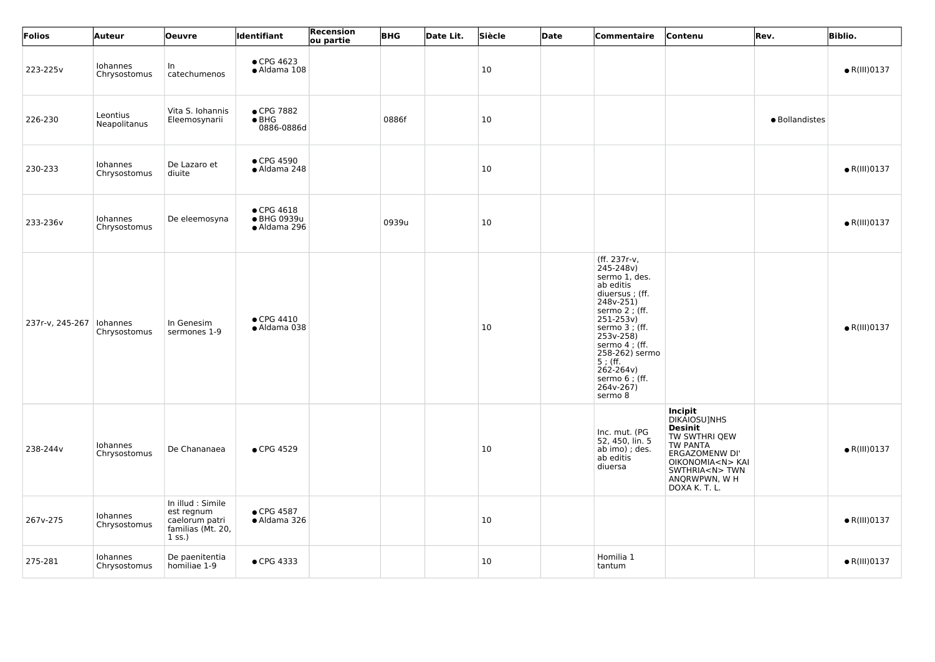| Folios          | Auteur                   | <b>Oeuvre</b>                                                                      | <b>Identifiant</b>                                | <b>Recension</b><br>ou partie | <b>BHG</b> | Date Lit. | Siècle | Date | Commentaire                                                                                                                                                                                                                                                      | Contenu                                                                                                                                                                            | Rev.           | <b>Biblio.</b>       |
|-----------------|--------------------------|------------------------------------------------------------------------------------|---------------------------------------------------|-------------------------------|------------|-----------|--------|------|------------------------------------------------------------------------------------------------------------------------------------------------------------------------------------------------------------------------------------------------------------------|------------------------------------------------------------------------------------------------------------------------------------------------------------------------------------|----------------|----------------------|
| 223-225v        | Iohannes<br>Chrysostomus | In.<br>catechumenos                                                                | $\bullet$ CPG 4623<br>· Aldama 108                |                               |            |           | 10     |      |                                                                                                                                                                                                                                                                  |                                                                                                                                                                                    |                | $\bullet$ R(III)0137 |
| 226-230         | Leontius<br>Neapolitanus | Vita S. Iohannis<br>Eleemosynarii                                                  | ● CPG 7882<br>$\bullet$ BHG<br>0886-0886d         |                               | 0886f      |           | 10     |      |                                                                                                                                                                                                                                                                  |                                                                                                                                                                                    | · Bollandistes |                      |
| 230-233         | Iohannes<br>Chrysostomus | De Lazaro et<br>diuite                                                             | $\bullet$ CPG 4590<br>• Aldama 248                |                               |            |           | 10     |      |                                                                                                                                                                                                                                                                  |                                                                                                                                                                                    |                | $\bullet$ R(III)0137 |
| 233-236v        | Iohannes<br>Chrysostomus | De eleemosyna                                                                      | $\bullet$ CPG 4618<br>● BHG 0939u<br>· Aldama 296 |                               | 0939u      |           | 10     |      |                                                                                                                                                                                                                                                                  |                                                                                                                                                                                    |                | $\bullet$ R(III)0137 |
| 237r-v, 245-267 | Iohannes<br>Chrysostomus | In Genesim<br>sermones 1-9                                                         | $\bullet$ CPG 4410<br>• Aldama 038                |                               |            |           | 10     |      | (ff. 237r-v,<br>245-248v)<br>sermo 1, des.<br>ab editis<br>diuersus; (ff.<br>248v-251)<br>sermo 2 ; (ff.<br>$251 - 253v$<br>sermo 3 ; (ff.<br>253v-258)<br>sermo 4 ; (ff.<br>258-262) sermo<br>$5$ ; (ff.<br>262-264v)<br>sermo 6 ; (ff.<br>264v-267)<br>sermo 8 |                                                                                                                                                                                    |                | $\bullet$ R(III)0137 |
| 238-244v        | Iohannes<br>Chrysostomus | De Chananaea                                                                       | • CPG 4529                                        |                               |            |           | 10     |      | Inc. mut. (PG<br>52, 450, lin. 5<br>ab imo) ; des.<br>ab editis<br>diuersa                                                                                                                                                                                       | Incipit<br>DIKAIOSU]NHS<br><b>Desinit</b><br>TW SWTHRI QEW<br>TW PANTA<br><b>ERGAZOMENW DI'</b><br>OIKONOMIA <n> KAI<br/>SWTHRIA<n>TWN<br/>ANQRWPWN, W H<br/>DOXA K. T. L.</n></n> |                | $\bullet$ R(III)0137 |
| 267v-275        | Iohannes<br>Chrysostomus | In illud : Simile<br>est regnum<br>caelorum patri<br>familias (Mt. 20,<br>$1$ ss.) | • CPG 4587<br>• Aldama 326                        |                               |            |           | 10     |      |                                                                                                                                                                                                                                                                  |                                                                                                                                                                                    |                | $\bullet$ R(III)0137 |
| 275-281         | Iohannes<br>Chrysostomus | De paenitentia<br>homiliae 1-9                                                     | • CPG 4333                                        |                               |            |           | 10     |      | Homilia 1<br>tantum                                                                                                                                                                                                                                              |                                                                                                                                                                                    |                | $\bullet$ R(III)0137 |